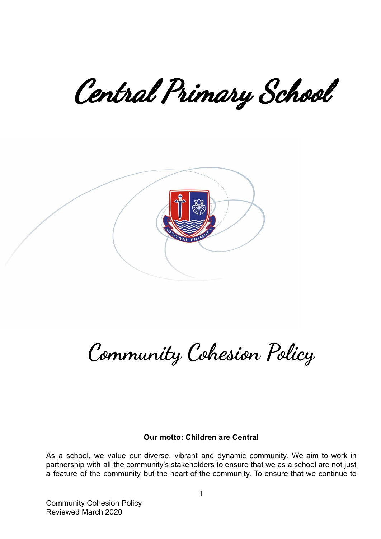Central Primary School



# **Community Cohesion Policy**

#### **Our motto: Children are Central**

As a school, we value our diverse, vibrant and dynamic community. We aim to work in partnership with all the community's stakeholders to ensure that we as a school are not just a feature of the community but the heart of the community. To ensure that we continue to

Community Cohesion Policy Reviewed March 2020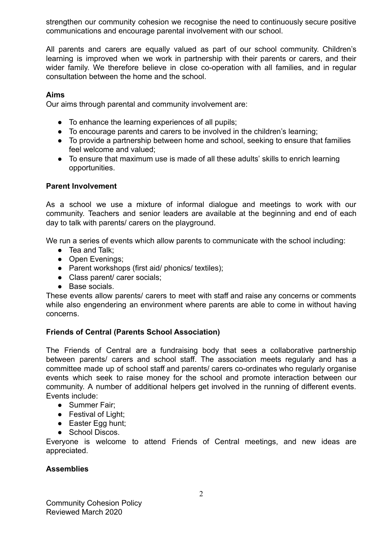strengthen our community cohesion we recognise the need to continuously secure positive communications and encourage parental involvement with our school.

All parents and carers are equally valued as part of our school community. Children's learning is improved when we work in partnership with their parents or carers, and their wider family. We therefore believe in close co-operation with all families, and in regular consultation between the home and the school.

## **Aims**

Our aims through parental and community involvement are:

- To enhance the learning experiences of all pupils;
- To encourage parents and carers to be involved in the children's learning;
- To provide a partnership between home and school, seeking to ensure that families feel welcome and valued;
- To ensure that maximum use is made of all these adults' skills to enrich learning opportunities.

# **Parent Involvement**

As a school we use a mixture of informal dialogue and meetings to work with our community. Teachers and senior leaders are available at the beginning and end of each day to talk with parents/ carers on the playground.

We run a series of events which allow parents to communicate with the school including:

- Tea and Talk:
- Open Evenings:
- Parent workshops (first aid/ phonics/ textiles);
- Class parent/ carer socials:
- Base socials.

These events allow parents/ carers to meet with staff and raise any concerns or comments while also engendering an environment where parents are able to come in without having concerns.

# **Friends of Central (Parents School Association)**

The Friends of Central are a fundraising body that sees a collaborative partnership between parents/ carers and school staff. The association meets regularly and has a committee made up of school staff and parents/ carers co-ordinates who regularly organise events which seek to raise money for the school and promote interaction between our community. A number of additional helpers get involved in the running of different events. Events include:

- Summer Fair:
- Festival of Light;
- Easter Egg hunt;
- School Discos.

Everyone is welcome to attend Friends of Central meetings, and new ideas are appreciated.

## **Assemblies**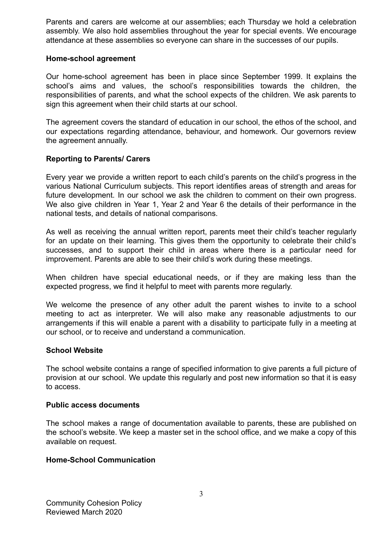Parents and carers are welcome at our assemblies; each Thursday we hold a celebration assembly. We also hold assemblies throughout the year for special events. We encourage attendance at these assemblies so everyone can share in the successes of our pupils.

## **Home-school agreement**

Our home-school agreement has been in place since September 1999. It explains the school's aims and values, the school's responsibilities towards the children, the responsibilities of parents, and what the school expects of the children. We ask parents to sign this agreement when their child starts at our school.

The agreement covers the standard of education in our school, the ethos of the school, and our expectations regarding attendance, behaviour, and homework. Our governors review the agreement annually.

#### **Reporting to Parents/ Carers**

Every year we provide a written report to each child's parents on the child's progress in the various National Curriculum subjects. This report identifies areas of strength and areas for future development. In our school we ask the children to comment on their own progress. We also give children in Year 1, Year 2 and Year 6 the details of their performance in the national tests, and details of national comparisons.

As well as receiving the annual written report, parents meet their child's teacher regularly for an update on their learning. This gives them the opportunity to celebrate their child's successes, and to support their child in areas where there is a particular need for improvement. Parents are able to see their child's work during these meetings.

When children have special educational needs, or if they are making less than the expected progress, we find it helpful to meet with parents more regularly.

We welcome the presence of any other adult the parent wishes to invite to a school meeting to act as interpreter. We will also make any reasonable adjustments to our arrangements if this will enable a parent with a disability to participate fully in a meeting at our school, or to receive and understand a communication.

#### **School Website**

The school website contains a range of specified information to give parents a full picture of provision at our school. We update this regularly and post new information so that it is easy to access.

#### **Public access documents**

The school makes a range of documentation available to parents, these are published on the school's website. We keep a master set in the school office, and we make a copy of this available on request.

#### **Home-School Communication**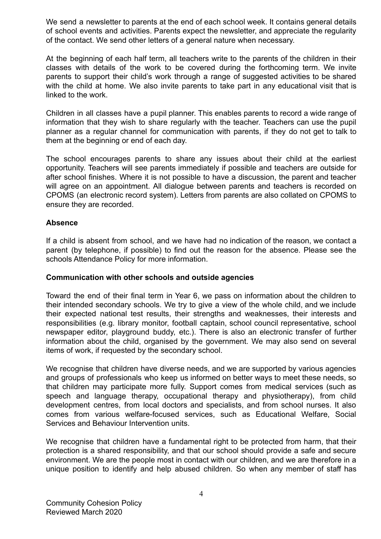We send a newsletter to parents at the end of each school week. It contains general details of school events and activities. Parents expect the newsletter, and appreciate the regularity of the contact. We send other letters of a general nature when necessary.

At the beginning of each half term, all teachers write to the parents of the children in their classes with details of the work to be covered during the forthcoming term. We invite parents to support their child's work through a range of suggested activities to be shared with the child at home. We also invite parents to take part in any educational visit that is linked to the work.

Children in all classes have a pupil planner. This enables parents to record a wide range of information that they wish to share regularly with the teacher. Teachers can use the pupil planner as a regular channel for communication with parents, if they do not get to talk to them at the beginning or end of each day.

The school encourages parents to share any issues about their child at the earliest opportunity. Teachers will see parents immediately if possible and teachers are outside for after school finishes. Where it is not possible to have a discussion, the parent and teacher will agree on an appointment. All dialogue between parents and teachers is recorded on CPOMS (an electronic record system). Letters from parents are also collated on CPOMS to ensure they are recorded.

## **Absence**

If a child is absent from school, and we have had no indication of the reason, we contact a parent (by telephone, if possible) to find out the reason for the absence. Please see the schools Attendance Policy for more information.

## **Communication with other schools and outside agencies**

Toward the end of their final term in Year 6, we pass on information about the children to their intended secondary schools. We try to give a view of the whole child, and we include their expected national test results, their strengths and weaknesses, their interests and responsibilities (e.g. library monitor, football captain, school council representative, school newspaper editor, playground buddy, etc.). There is also an electronic transfer of further information about the child, organised by the government. We may also send on several items of work, if requested by the secondary school.

We recognise that children have diverse needs, and we are supported by various agencies and groups of professionals who keep us informed on better ways to meet these needs, so that children may participate more fully. Support comes from medical services (such as speech and language therapy, occupational therapy and physiotherapy), from child development centres, from local doctors and specialists, and from school nurses. It also comes from various welfare-focused services, such as Educational Welfare, Social Services and Behaviour Intervention units.

We recognise that children have a fundamental right to be protected from harm, that their protection is a shared responsibility, and that our school should provide a safe and secure environment. We are the people most in contact with our children, and we are therefore in a unique position to identify and help abused children. So when any member of staff has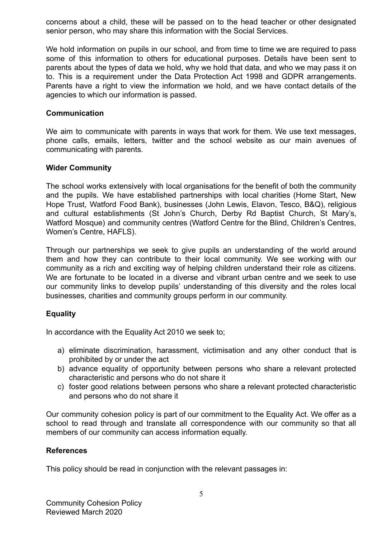concerns about a child, these will be passed on to the head teacher or other designated senior person, who may share this information with the Social Services.

We hold information on pupils in our school, and from time to time we are required to pass some of this information to others for educational purposes. Details have been sent to parents about the types of data we hold, why we hold that data, and who we may pass it on to. This is a requirement under the Data Protection Act 1998 and GDPR arrangements. Parents have a right to view the information we hold, and we have contact details of the agencies to which our information is passed.

## **Communication**

We aim to communicate with parents in ways that work for them. We use text messages, phone calls, emails, letters, twitter and the school website as our main avenues of communicating with parents.

## **Wider Community**

The school works extensively with local organisations for the benefit of both the community and the pupils. We have established partnerships with local charities (Home Start, New Hope Trust, Watford Food Bank), businesses (John Lewis, Elavon, Tesco, B&Q), religious and cultural establishments (St John's Church, Derby Rd Baptist Church, St Mary's, Watford Mosque) and community centres (Watford Centre for the Blind, Children's Centres, Women's Centre, HAFLS).

Through our partnerships we seek to give pupils an understanding of the world around them and how they can contribute to their local community. We see working with our community as a rich and exciting way of helping children understand their role as citizens. We are fortunate to be located in a diverse and vibrant urban centre and we seek to use our community links to develop pupils' understanding of this diversity and the roles local businesses, charities and community groups perform in our community.

# **Equality**

In accordance with the Equality Act 2010 we seek to;

- a) eliminate discrimination, harassment, victimisation and any other conduct that is prohibited by or under the act
- b) advance equality of opportunity between persons who share a relevant protected characteristic and persons who do not share it
- c) foster good relations between persons who share a relevant protected characteristic and persons who do not share it

Our community cohesion policy is part of our commitment to the Equality Act. We offer as a school to read through and translate all correspondence with our community so that all members of our community can access information equally.

## **References**

This policy should be read in conjunction with the relevant passages in: